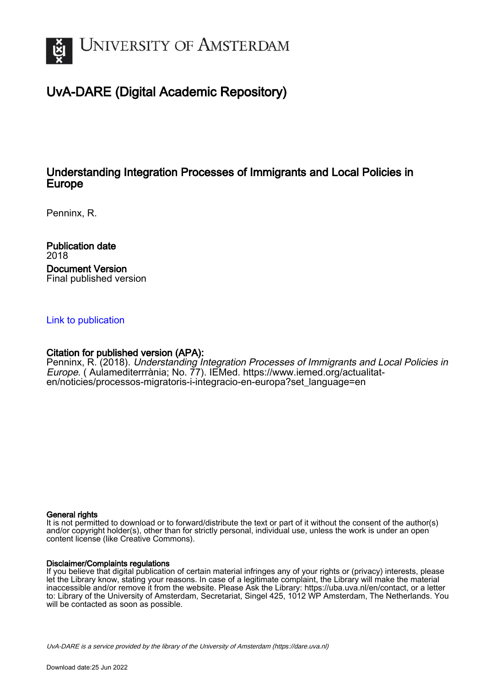

# UvA-DARE (Digital Academic Repository)

## Understanding Integration Processes of Immigrants and Local Policies in Europe

Penninx, R.

Publication date 2018 Document Version Final published version

### [Link to publication](https://dare.uva.nl/personal/pure/en/publications/understanding-integration-processes-of-immigrants-and-local-policies-in-europe(af832e57-a10f-4da0-ae1a-6c9cf16f2626).html)

## Citation for published version (APA):

Penninx, R. (2018). Understanding Integration Processes of Immigrants and Local Policies in Europe. ( Aulamediterrrània; No. 77). IEMed. [https://www.iemed.org/actualitat](https://www.iemed.org/actualitat-en/noticies/processos-migratoris-i-integracio-en-europa?set_language=en)[en/noticies/processos-migratoris-i-integracio-en-europa?set\\_language=en](https://www.iemed.org/actualitat-en/noticies/processos-migratoris-i-integracio-en-europa?set_language=en)

#### General rights

It is not permitted to download or to forward/distribute the text or part of it without the consent of the author(s) and/or copyright holder(s), other than for strictly personal, individual use, unless the work is under an open content license (like Creative Commons).

#### Disclaimer/Complaints regulations

If you believe that digital publication of certain material infringes any of your rights or (privacy) interests, please let the Library know, stating your reasons. In case of a legitimate complaint, the Library will make the material inaccessible and/or remove it from the website. Please Ask the Library: https://uba.uva.nl/en/contact, or a letter to: Library of the University of Amsterdam, Secretariat, Singel 425, 1012 WP Amsterdam, The Netherlands. You will be contacted as soon as possible.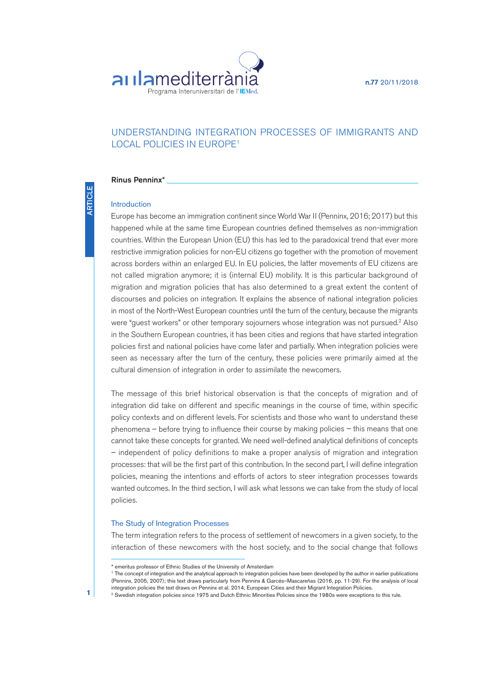**n.77** 20/11/2018



## UNDERSTANDING INTEGRATION PROCESSES OF IMMIGRANTS AND LOCAL POLICIES IN EUROPE<sup>1</sup>

#### **Rinus Penninx\***

#### Introduction

Europe has become an immigration continent since World War II (Penninx, 2016; 2017) but this happened while at the same time European countries defined themselves as non-immigration countries. Within the European Union (EU) this has led to the paradoxical trend that ever more restrictive immigration policies for non-EU citizens go together with the promotion of movement across borders within an enlarged EU. In EU policies, the latter movements of EU citizens are not called migration anymore; it is (internal EU) mobility. It is this particular background of migration and migration policies that has also determined to <sup>a</sup> grea<sup>t</sup> extent the content of discourses and policies on integration. It explains the absence of national integration policies in most of the North-West European countries until the turn of the century, because the migrants were "guest workers" or other temporary sojourners whose integration was not pursued. 2 Also in the Southern European countries, it has been cities and regions that have started integration policies first and national policies have come later and partially. When integration policies were seen as necessary after the turn of the century, these policies were primarily aimed at the cultural dimension of integration in order to assimilate the newcomers.

The message of this brief historical observation is that the concepts of migration and of integration did take on different and specific meanings in the course of time, within specific policy contexts and on different levels. For scientists and those who want to understand these phenomena – before trying to influence their course by making policies – this means that one cannot take these concepts for granted. We need well-defined analytical definitions of concepts – independent of policy definitions to make <sup>a</sup> proper analysis of migration and integration processes: that will be the first par<sup>t</sup> of this contribution. In the second part, I will define integration policies, meaning the intentions and efforts of actors to steer integration processes towards wanted outcomes. In the third section, I will ask what lessons we can take from the study of local policies.

#### The Study of Integration Processes

The term integration refers to the process of settlement of newcomers in <sup>a</sup> given society, to the interaction of these newcomers with the host society, and to the social change that follows

<sup>\*</sup> emeritus professor of Ethnic Studies of the University of Amsterdam

<sup>1</sup> The concept of integration and the analytical approach to integration policies have been developed by the author in earlier publications (Penninx, 2005, 2007); this text draws particularly from Penninx & Garcés–Mascareñas (2016, pp. 11-29). For the analysis of local integration policies the text draws on Penninx et al. 2014, European Cities and their Migrant Integration Policies.

<sup>2</sup> Swedish integration policies since 1975 and Dutch Ethnic Minorities Policies since the 1980s were exceptions to this rule.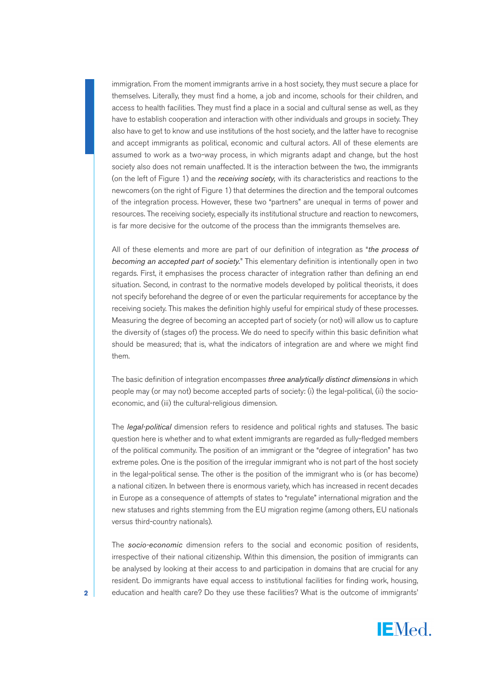immigration. From the moment immigrants arrive in a host society, they must secure a place for themselves. Literally, they must find a home, a job and income, schools for their children, and access to health facilities. They must find a place in a social and cultural sense as well, as they have to establish cooperation and interaction with other individuals and groups in society. They also have to get to know and use institutions of the host society, and the latter have to recognise and accept immigrants as political, economic and cultural actors. All of these elements are assumed to work as a two-way process, in which migrants adapt and change, but the host society also does not remain unaffected. It is the interaction between the two, the immigrants (on the left of Figure 1) and the *receiving society,* with its characteristics and reactions to the newcomers (on the right of Figure 1) that determines the direction and the temporal outcomes of the integration process. However, these two "partners" are unequal in terms of power and resources. The receiving society, especially its institutional structure and reaction to newcomers, is far more decisive for the outcome of the process than the immigrants themselves are.

All of these elements and more are part of our definition of integration as "*the process of becoming an accepted part of society.*" This elementary definition is intentionally open in two regards. First, it emphasises the process character of integration rather than defining an end situation. Second, in contrast to the normative models developed by political theorists, it does not specify beforehand the degree of or even the particular requirements for acceptance by the receiving society. This makes the definition highly useful for empirical study of these processes. Measuring the degree of becoming an accepted part of society (or not) will allow us to capture the diversity of (stages of) the process. We do need to specify within this basic definition what should be measured; that is, what the indicators of integration are and where we might find them.

The basic definition of integration encompasses *three analytically distinct dimensions* in which people may (or may not) become accepted parts of society: (i) the legal-political, (ii) the socioeconomic, and (iii) the cultural-religious dimension.

The *legal-political* dimension refers to residence and political rights and statuses. The basic question here is whether and to what extent immigrants are regarded as fully-fledged members of the political community. The position of an immigrant or the "degree of integration" has two extreme poles. One is the position of the irregular immigrant who is not part of the host society in the legal-political sense. The other is the position of the immigrant who is (or has become) a national citizen. In between there is enormous variety, which has increased in recent decades in Europe as a consequence of attempts of states to "regulate" international migration and the new statuses and rights stemming from the EU migration regime (among others, EU nationals versus third-country nationals).

The *socio-economic* dimension refers to the social and economic position of residents, irrespective of their national citizenship. Within this dimension, the position of immigrants can be analysed by looking at their access to and participation in domains that are crucial for any resident. Do immigrants have equal access to institutional facilities for finding work, housing, **2** education and health care? Do they use these facilities? What is the outcome of immigrants'

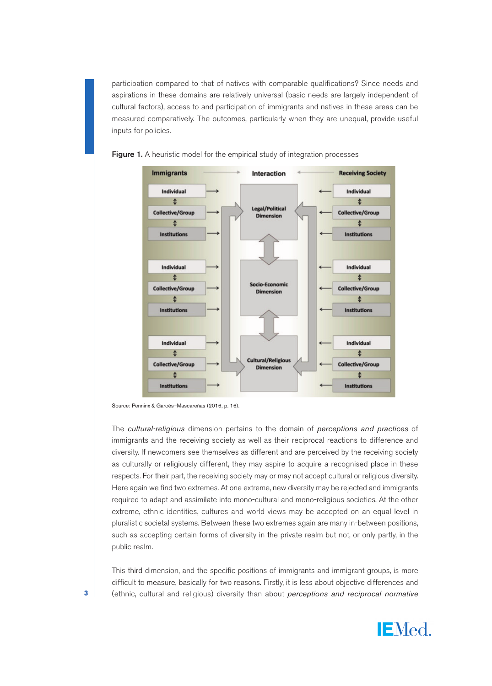participation compared to that of natives with comparable qualifications? Since needs and aspirations in these domains are relatively universal (basic needs are largely independent of cultural factors), access to and participation of immigrants and natives in these areas can be measured comparatively. The outcomes, particularly when they are unequal, provide useful inputs for policies.





The *cultural-religious* dimension pertains to the domain of *perceptions and practices* of immigrants and the receiving society as well as their reciprocal reactions to difference and diversity. If newcomers see themselves as different and are perceived by the receiving society as culturally or religiously different, they may aspire to acquire a recognised place in these respects. For their part, the receiving society may or may not accept cultural or religious diversity. Here again we find two extremes. At one extreme, new diversity may be rejected and immigrants required to adapt and assimilate into mono-cultural and mono-religious societies. At the other extreme, ethnic identities, cultures and world views may be accepted on an equal level in pluralistic societal systems. Between these two extremes again are many in-between positions, such as accepting certain forms of diversity in the private realm but not, or only partly, in the public realm.

This third dimension, and the specific positions of immigrants and immigrant groups, is more difficult to measure, basically for two reasons. Firstly, it is less about objective differences and **3** (ethnic, cultural and religious) diversity than about *perceptions and reciprocal normative*



Source: Penninx & Garcés–Mascareñas (2016, p. 16).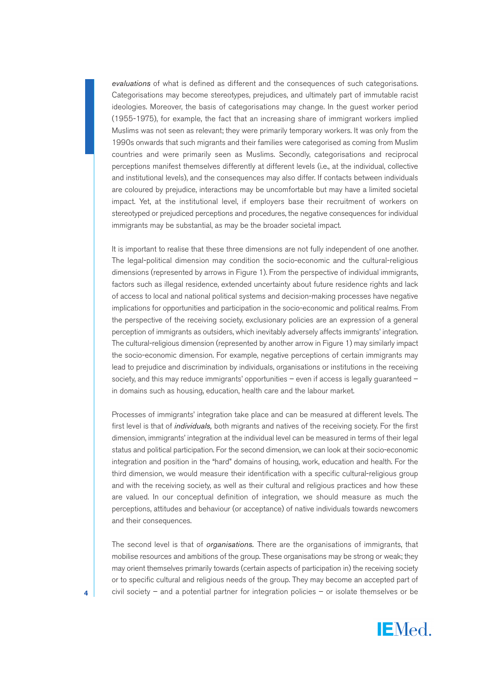*evaluations* of what is defined as different and the consequences of such categorisations. Categorisations may become stereotypes, prejudices, and ultimately part of immutable racist ideologies. Moreover, the basis of categorisations may change. In the guest worker period (1955-1975), for example, the fact that an increasing share of immigrant workers implied Muslims was not seen as relevant; they were primarily temporary workers. It was only from the 1990s onwards that such migrants and their families were categorised as coming from Muslim countries and were primarily seen as Muslims. Secondly, categorisations and reciprocal perceptions manifest themselves differently at different levels (i.e., at the individual, collective and institutional levels), and the consequences may also differ. If contacts between individuals are coloured by prejudice, interactions may be uncomfortable but may have a limited societal impact. Yet, at the institutional level, if employers base their recruitment of workers on stereotyped or prejudiced perceptions and procedures, the negative consequences for individual immigrants may be substantial, as may be the broader societal impact.

It is important to realise that these three dimensions are not fully independent of one another. The legal-political dimension may condition the socio-economic and the cultural-religious dimensions (represented by arrows in Figure 1). From the perspective of individual immigrants, factors such as illegal residence, extended uncertainty about future residence rights and lack of access to local and national political systems and decision-making processes have negative implications for opportunities and participation in the socio-economic and political realms. From the perspective of the receiving society, exclusionary policies are an expression of a general perception of immigrants as outsiders, which inevitably adversely affects immigrants' integration. The cultural-religious dimension (represented by another arrow in Figure 1) may similarly impact the socio-economic dimension. For example, negative perceptions of certain immigrants may lead to prejudice and discrimination by individuals, organisations or institutions in the receiving society, and this may reduce immigrants' opportunities – even if access is legally guaranteed – in domains such as housing, education, health care and the labour market.

Processes of immigrants' integration take place and can be measured at different levels. The first level is that of *individuals,* both migrants and natives of the receiving society. For the first dimension, immigrants' integration at the individual level can be measured in terms of their legal status and political participation. For the second dimension, we can look at their socio-economic integration and position in the "hard" domains of housing, work, education and health. For the third dimension, we would measure their identification with a specific cultural-religious group and with the receiving society, as well as their cultural and religious practices and how these are valued. In our conceptual definition of integration, we should measure as much the perceptions, attitudes and behaviour (or acceptance) of native individuals towards newcomers and their consequences.

The second level is that of *organisations.* There are the organisations of immigrants, that mobilise resources and ambitions of the group. These organisations may be strong or weak; they may orient themselves primarily towards (certain aspects of participation in) the receiving society or to specific cultural and religious needs of the group. They may become an accepted part of **4** civil society – and a potential partner for integration policies – or isolate themselves or be

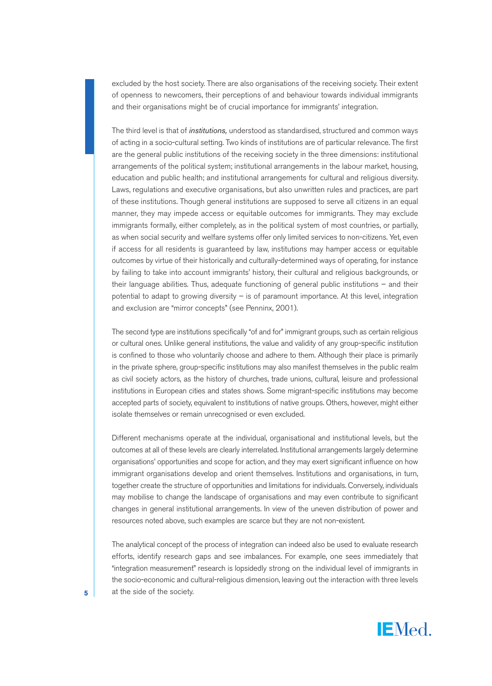excluded by the host society. There are also organisations of the receiving society. Their extent of openness to newcomers, their perceptions of and behaviour towards individual immigrants and their organisations might be of crucial importance for immigrants' integration.

The third level is that of *institutions,* understood as standardised, structured and common ways of acting in a socio-cultural setting. Two kinds of institutions are of particular relevance. The first are the general public institutions of the receiving society in the three dimensions: institutional arrangements of the political system; institutional arrangements in the labour market, housing, education and public health; and institutional arrangements for cultural and religious diversity. Laws, regulations and executive organisations, but also unwritten rules and practices, are part of these institutions. Though general institutions are supposed to serve all citizens in an equal manner, they may impede access or equitable outcomes for immigrants. They may exclude immigrants formally, either completely, as in the political system of most countries, or partially, as when social security and welfare systems offer only limited services to non-citizens. Yet, even if access for all residents is guaranteed by law, institutions may hamper access or equitable outcomes by virtue of their historically and culturally-determined ways of operating, for instance by failing to take into account immigrants' history, their cultural and religious backgrounds, or their language abilities. Thus, adequate functioning of general public institutions – and their potential to adapt to growing diversity – is of paramount importance. At this level, integration and exclusion are "mirror concepts" (see Penninx, 2001).

The second type are institutions specifically "of and for" immigrant groups, such as certain religious or cultural ones. Unlike general institutions, the value and validity of any group-specific institution is confined to those who voluntarily choose and adhere to them. Although their place is primarily in the private sphere, group-specific institutions may also manifest themselves in the public realm as civil society actors, as the history of churches, trade unions, cultural, leisure and professional institutions in European cities and states shows. Some migrant-specific institutions may become accepted parts of society, equivalent to institutions of native groups. Others, however, might either isolate themselves or remain unrecognised or even excluded.

Different mechanisms operate at the individual, organisational and institutional levels, but the outcomes at all of these levels are clearly interrelated. Institutional arrangements largely determine organisations' opportunities and scope for action, and they may exert significant influence on how immigrant organisations develop and orient themselves. Institutions and organisations, in turn, together create the structure of opportunities and limitations for individuals. Conversely, individuals may mobilise to change the landscape of organisations and may even contribute to significant changes in general institutional arrangements. In view of the uneven distribution of power and resources noted above, such examples are scarce but they are not non-existent.

The analytical concept of the process of integration can indeed also be used to evaluate research efforts, identify research gaps and see imbalances. For example, one sees immediately that "integration measurement" research is lopsidedly strong on the individual level of immigrants in the socio-economic and cultural-religious dimension, leaving out the interaction with three levels **5** at the side of the society.

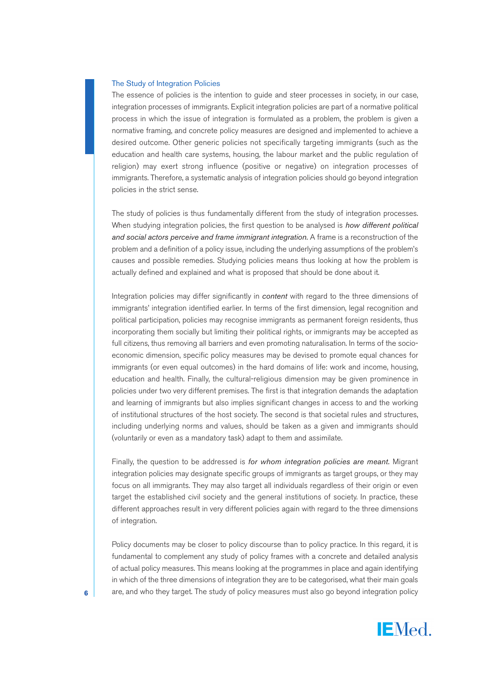#### The Study of Integration Policies

The essence of policies is the intention to guide and steer processes in society, in our case, integration processes of immigrants. Explicit integration policies are part of a normative political process in which the issue of integration is formulated as a problem, the problem is given a normative framing, and concrete policy measures are designed and implemented to achieve a desired outcome. Other generic policies not specifically targeting immigrants (such as the education and health care systems, housing, the labour market and the public regulation of religion) may exert strong influence (positive or negative) on integration processes of immigrants. Therefore, a systematic analysis of integration policies should go beyond integration policies in the strict sense.

The study of policies is thus fundamentally different from the study of integration processes. When studying integration policies, the first question to be analysed is *how different political and social actors perceive and frame immigrant integration.* A frame is a reconstruction of the problem and a definition of a policy issue, including the underlying assumptions of the problem's causes and possible remedies. Studying policies means thus looking at how the problem is actually defined and explained and what is proposed that should be done about it.

Integration policies may differ significantly in *content* with regard to the three dimensions of immigrants' integration identified earlier. In terms of the first dimension, legal recognition and political participation, policies may recognise immigrants as permanent foreign residents, thus incorporating them socially but limiting their political rights, or immigrants may be accepted as full citizens, thus removing all barriers and even promoting naturalisation. In terms of the socioeconomic dimension, specific policy measures may be devised to promote equal chances for immigrants (or even equal outcomes) in the hard domains of life: work and income, housing, education and health. Finally, the cultural-religious dimension may be given prominence in policies under two very different premises. The first is that integration demands the adaptation and learning of immigrants but also implies significant changes in access to and the working of institutional structures of the host society. The second is that societal rules and structures, including underlying norms and values, should be taken as a given and immigrants should (voluntarily or even as a mandatory task) adapt to them and assimilate.

Finally, the question to be addressed is *for whom integration policies are meant.* Migrant integration policies may designate specific groups of immigrants as target groups, or they may focus on all immigrants. They may also target all individuals regardless of their origin or even target the established civil society and the general institutions of society. In practice, these different approaches result in very different policies again with regard to the three dimensions of integration.

Policy documents may be closer to policy discourse than to policy practice. In this regard, it is fundamental to complement any study of policy frames with a concrete and detailed analysis of actual policy measures. This means looking at the programmes in place and again identifying in which of the three dimensions of integration they are to be categorised, what their main goals **6** are, and who they target. The study of policy measures must also go beyond integration policy

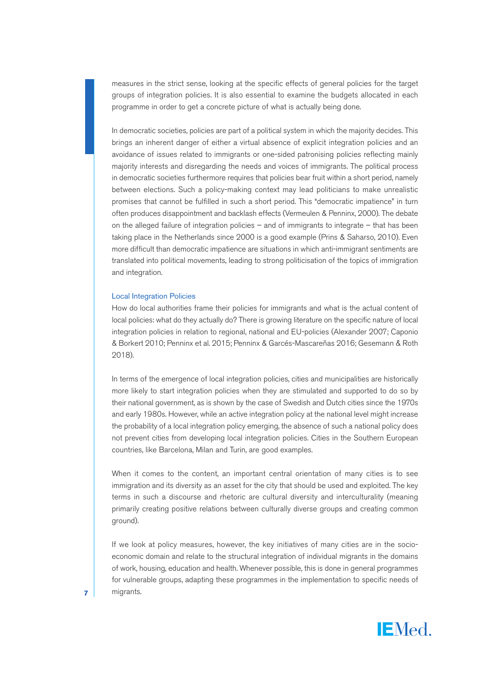measures in the strict sense, looking at the specific effects of general policies for the target groups of integration policies. It is also essential to examine the budgets allocated in each programme in order to get a concrete picture of what is actually being done.

In democratic societies, policies are part of a political system in which the majority decides. This brings an inherent danger of either a virtual absence of explicit integration policies and an avoidance of issues related to immigrants or one-sided patronising policies reflecting mainly majority interests and disregarding the needs and voices of immigrants. The political process in democratic societies furthermore requires that policies bear fruit within a short period, namely between elections. Such a policy-making context may lead politicians to make unrealistic promises that cannot be fulfilled in such a short period. This "democratic impatience" in turn often produces disappointment and backlash effects (Vermeulen & Penninx, 2000). The debate on the alleged failure of integration policies – and of immigrants to integrate – that has been taking place in the Netherlands since 2000 is a good example (Prins & Saharso, 2010). Even more difficult than democratic impatience are situations in which anti-immigrant sentiments are translated into political movements, leading to strong politicisation of the topics of immigration and integration.

#### Local Integration Policies

How do local authorities frame their policies for immigrants and what is the actual content of local policies: what do they actually do? There is growing literature on the specific nature of local integration policies in relation to regional, national and EU-policies (Alexander 2007; Caponio & Borkert 2010; Penninx et al. 2015; Penninx & Garcés-Mascareñas 2016; Gesemann & Roth 2018).

In terms of the emergence of local integration policies, cities and municipalities are historically more likely to start integration policies when they are stimulated and supported to do so by their national government, as is shown by the case of Swedish and Dutch cities since the 1970s and early 1980s. However, while an active integration policy at the national level might increase the probability of a local integration policy emerging, the absence of such a national policy does not prevent cities from developing local integration policies. Cities in the Southern European countries, like Barcelona, Milan and Turin, are good examples.

When it comes to the content, an important central orientation of many cities is to see immigration and its diversity as an asset for the city that should be used and exploited. The key terms in such a discourse and rhetoric are cultural diversity and interculturality (meaning primarily creating positive relations between culturally diverse groups and creating common ground).

If we look at policy measures, however, the key initiatives of many cities are in the socioeconomic domain and relate to the structural integration of individual migrants in the domains of work, housing, education and health. Whenever possible, this is done in general programmes for vulnerable groups, adapting these programmes in the implementation to specific needs of **7** migrants.

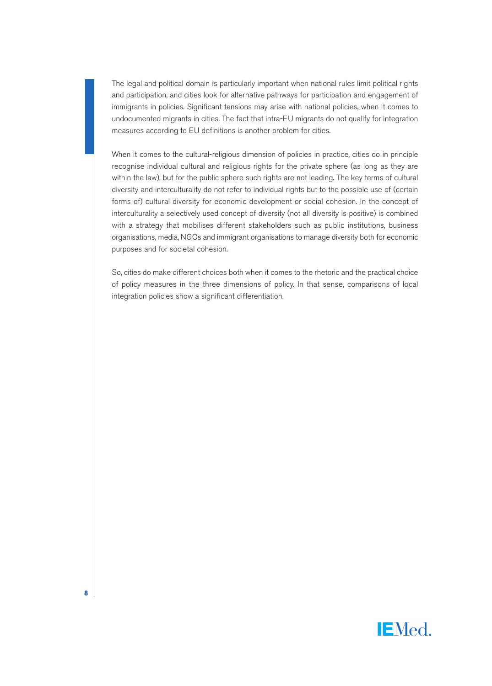The legal and political domain is particularly important when national rules limit political rights and participation, and cities look for alternative pathways for participation and engagement of immigrants in policies. Significant tensions may arise with national policies, when it comes to undocumented migrants in cities. The fact that intra-EU migrants do not qualify for integration measures according to EU definitions is another problem for cities.

When it comes to the cultural-religious dimension of policies in practice, cities do in principle recognise individual cultural and religious rights for the private sphere (as long as they are within the law), but for the public sphere such rights are not leading. The key terms of cultural diversity and interculturality do not refer to individual rights but to the possible use of (certain forms of) cultural diversity for economic development or social cohesion. In the concept of interculturality a selectively used concept of diversity (not all diversity is positive) is combined with a strategy that mobilises different stakeholders such as public institutions, business organisations, media, NGOs and immigrant organisations to manage diversity both for economic purposes and for societal cohesion.

So, cities do make different choices both when it comes to the rhetoric and the practical choice of policy measures in the three dimensions of policy. In that sense, comparisons of local integration policies show a significant differentiation.

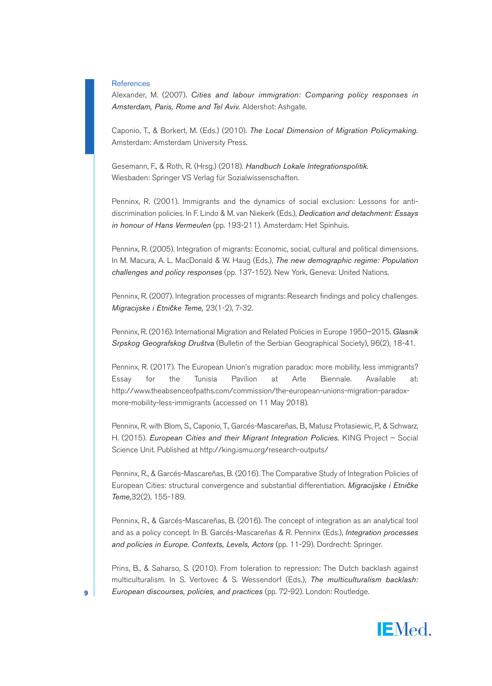#### **References**

Alexander, M. (2007). *Cities and labour immigration: Comparing policy responses in Amsterdam, Paris, Rome and Tel Aviv.* Aldershot: Ashgate.

Caponio, T., & Borkert, M. (Eds.) (2010). *The Local Dimension of Migration Policymaking.* Amsterdam: Amsterdam University Press.

Gesemann, F., & Roth, R. (Hrsg.) (2018). *Handbuch Lokale Integrationspolitik.* Wiesbaden: Springer VS Verlag für Sozialwissenschaften.

Penninx, R. (2001). Immigrants and the dynamics of social exclusion: Lessons for antidiscrimination policies. In F. Lindo & M. van Niekerk (Eds.), *Dedication and detachment: Essays in honour of Hans Vermeulen* (pp. 193-211). Amsterdam: Het Spinhuis.

Penninx, R. (2005). Integration of migrants: Economic, social, cultural and political dimensions. In M. Macura, A. L. MacDonald & W. Haug (Eds.), *The new demographic regime: Population challenges and policy responses* (pp. 137-152). New York, Geneva: United Nations.

Penninx, R. (2007). Integration processes of migrants: Research findings and policy challenges. *Migracijske i Etničke Teme,* 23(1-2), 7-32.

Penninx, R. (2016). International Migration and Related Policies in Europe 1950–2015. *Glasnik Srpskog Geografskog Društva* (Bulletin of the Serbian Geographical Society), 96(2), 18-41.

Penninx, R. (2017). The European Union's migration paradox: more mobility, less immigrants? Essay for the Tunisia Pavilion at Arte Biennale. Available at: http://www.theabsenceofpaths.com/commission/the-european-unions-migration-paradoxmore-mobility-less-immigrants (accessed on 11 May 2018).

Penninx, R. with Blom, S., Caponio, T., Garcés-Mascareñas, B., Matusz Protasiewic, P., & Schwarz, H. (2015). *European Cities and their Migrant Integration Policies.* KING Project – Social Science Unit. Published at http://king.ismu.org/research-outputs/

Penninx, R., & Garcés-Mascareñas, B. (2016). The Comparative Study of Integration Policies of European Cities: structural convergence and substantial differentiation. *Migracijske i Etničke Teme,*32(2), 155-189.

Penninx, R., & Garcés-Mascareñas, B. (2016). The concept of integration as an analytical tool and as a policy concept. In B. Garcés-Mascareñas & R. Penninx (Eds.), *Integration processes and policies in Europe. Contexts, Levels, Actors* (pp. 11-29). Dordrecht: Springer.

Prins, B., & Saharso, S. (2010). From toleration to repression: The Dutch backlash against multiculturalism. In S. Vertovec & S. Wessendorf (Eds.), *The multiculturalism backlash:* **9** *European discourses, policies, and practices* (pp. 72-92). London: Routledge.